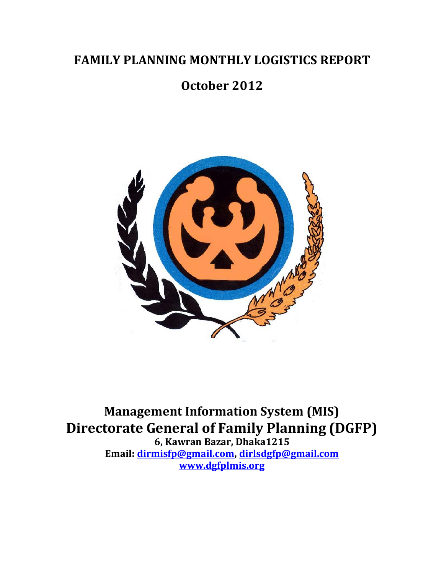# **FAMILY PLANNING MONTHLY LOGISTICS REPORT**

# **October 2012**



**Management Information System (MIS) Directorate General of Family Planning (DGFP)**

**6, Kawran Bazar, Dhaka1215 Email: dirmisfp@gmail.com, dirlsdgfp@gmail.com www.dgfplmis.org**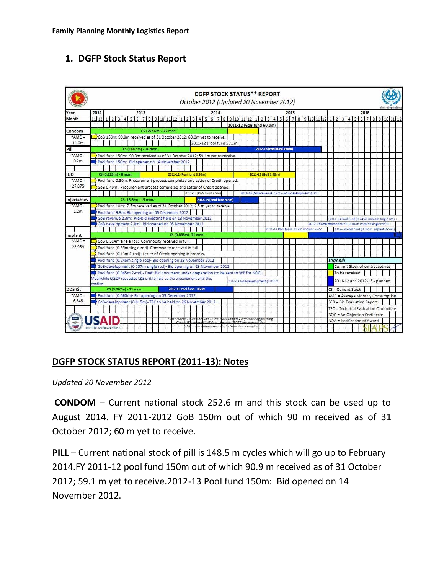# **1. DGFP Stock Status Report**



# **DGFP STOCK STATUS REPORT (2011-13): Notes**

*Updated 20 November 2012*

**CONDOM** – Current national stock 252.6 m and this stock can be used up to August 2014. FY 2011-2012 GoB 150m out of which 90 m received as of 31 October 2012; 60 m yet to receive.

**PILL** – Current national stock of pill is 148.5 m cycles which will go up to February 2014.FY 2011-12 pool fund 150m out of which 90.9 m received as of 31 October 2012; 59.1 m yet to receive.2012-13 Pool fund 150m: Bid opened on 14 November 2012.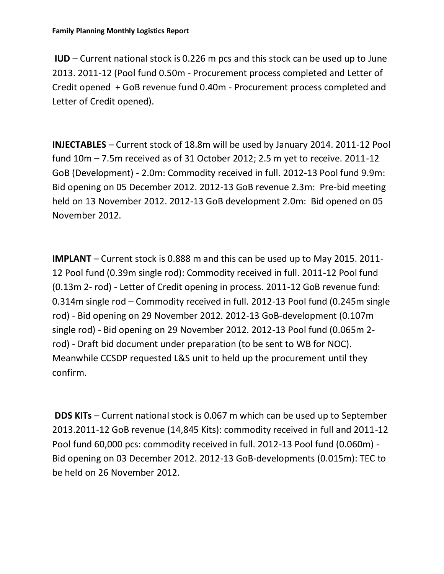**IUD** – Current national stock is 0.226 m pcs and this stock can be used up to June 2013. 2011-12 (Pool fund 0.50m - Procurement process completed and Letter of Credit opened + GoB revenue fund 0.40m - Procurement process completed and Letter of Credit opened).

**INJECTABLES** – Current stock of 18.8m will be used by January 2014. 2011-12 Pool fund 10m – 7.5m received as of 31 October 2012; 2.5 m yet to receive. 2011-12 GoB (Development) - 2.0m: Commodity received in full. 2012-13 Pool fund 9.9m: Bid opening on 05 December 2012. 2012-13 GoB revenue 2.3m: Pre-bid meeting held on 13 November 2012. 2012-13 GoB development 2.0m: Bid opened on 05 November 2012.

**IMPLANT** – Current stock is 0.888 m and this can be used up to May 2015. 2011- 12 Pool fund (0.39m single rod): Commodity received in full. 2011-12 Pool fund (0.13m 2- rod) - Letter of Credit opening in process. 2011-12 GoB revenue fund: 0.314m single rod – Commodity received in full. 2012-13 Pool fund (0.245m single rod) - Bid opening on 29 November 2012. 2012-13 GoB-development (0.107m single rod) - Bid opening on 29 November 2012. 2012-13 Pool fund (0.065m 2 rod) - Draft bid document under preparation (to be sent to WB for NOC). Meanwhile CCSDP requested L&S unit to held up the procurement until they confirm.

**DDS KITs** – Current national stock is 0.067 m which can be used up to September 2013.2011-12 GoB revenue (14,845 Kits): commodity received in full and 2011-12 Pool fund 60,000 pcs: commodity received in full. 2012-13 Pool fund (0.060m) - Bid opening on 03 December 2012. 2012-13 GoB-developments (0.015m): TEC to be held on 26 November 2012.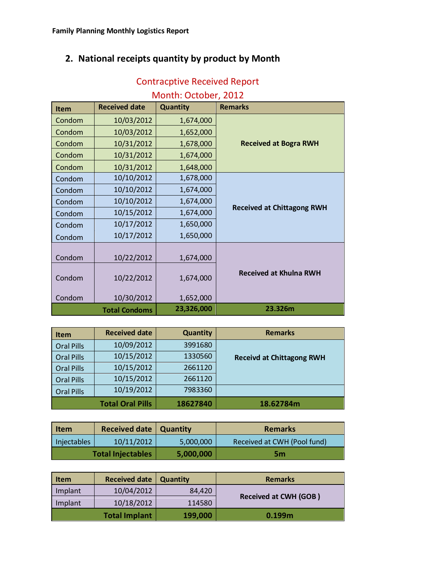# **2. National receipts quantity by product by Month**

| Month: October, 2012 |                      |                 |                                   |  |  |  |  |  |  |  |
|----------------------|----------------------|-----------------|-----------------------------------|--|--|--|--|--|--|--|
| <b>Item</b>          | <b>Received date</b> | <b>Quantity</b> | <b>Remarks</b>                    |  |  |  |  |  |  |  |
| Condom               | 10/03/2012           | 1,674,000       |                                   |  |  |  |  |  |  |  |
| Condom               | 10/03/2012           | 1,652,000       |                                   |  |  |  |  |  |  |  |
| Condom               | 10/31/2012           | 1,678,000       | <b>Received at Bogra RWH</b>      |  |  |  |  |  |  |  |
| Condom               | 10/31/2012           | 1,674,000       |                                   |  |  |  |  |  |  |  |
| Condom               | 10/31/2012           | 1,648,000       |                                   |  |  |  |  |  |  |  |
| Condom               | 10/10/2012           | 1,678,000       |                                   |  |  |  |  |  |  |  |
| Condom               | 10/10/2012           | 1,674,000       |                                   |  |  |  |  |  |  |  |
| Condom               | 10/10/2012           | 1,674,000       |                                   |  |  |  |  |  |  |  |
| Condom               | 10/15/2012           | 1,674,000       | <b>Received at Chittagong RWH</b> |  |  |  |  |  |  |  |
| Condom               | 10/17/2012           | 1,650,000       |                                   |  |  |  |  |  |  |  |
| Condom               | 10/17/2012           | 1,650,000       |                                   |  |  |  |  |  |  |  |
|                      |                      |                 |                                   |  |  |  |  |  |  |  |
| Condom               | 10/22/2012           | 1,674,000       |                                   |  |  |  |  |  |  |  |
| Condom               | 10/22/2012           | 1,674,000       | <b>Received at Khulna RWH</b>     |  |  |  |  |  |  |  |
| Condom               | 10/30/2012           | 1,652,000       |                                   |  |  |  |  |  |  |  |
|                      | <b>Total Condoms</b> | 23,326,000      | 23.326m                           |  |  |  |  |  |  |  |

# Contracptive Received Report

| <b>Item</b>       | <b>Received date</b>    | <b>Quantity</b> | <b>Remarks</b>                   |
|-------------------|-------------------------|-----------------|----------------------------------|
| <b>Oral Pills</b> | 10/09/2012              | 3991680         |                                  |
| <b>Oral Pills</b> | 10/15/2012              | 1330560         | <b>Receivd at Chittagong RWH</b> |
| <b>Oral Pills</b> | 10/15/2012              | 2661120         |                                  |
| <b>Oral Pills</b> | 10/15/2012              | 2661120         |                                  |
| <b>Oral Pills</b> | 10/19/2012              | 7983360         |                                  |
|                   | <b>Total Oral Pills</b> | 18627840        | 18.62784m                        |

| Item        | <b>Received date   Quantity</b> |           | <b>Remarks</b>              |  |  |  |  |
|-------------|---------------------------------|-----------|-----------------------------|--|--|--|--|
| Injectables | 10/11/2012                      | 5,000,000 | Received at CWH (Pool fund) |  |  |  |  |
|             | <b>Total Injectables</b>        | 5,000,000 | 5m                          |  |  |  |  |

| Item    | <b>Received date</b> | <b>Quantity</b> | <b>Remarks</b>               |
|---------|----------------------|-----------------|------------------------------|
| Implant | 10/04/2012           | 84,420          | <b>Received at CWH (GOB)</b> |
| Implant | 10/18/2012           | 114580          |                              |
|         | <b>Total Implant</b> | 199,000         | 0.199 <sub>m</sub>           |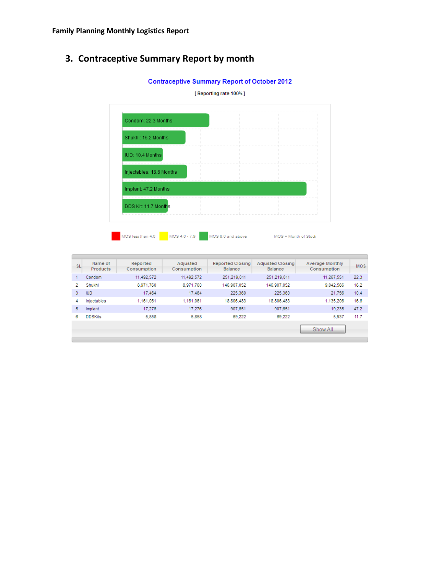# **3. Contraceptive Summary Report by month**



| <b>SL</b> | Name of<br>Products | Reported<br>Consumption | Adiusted<br>Consumption | <b>Reported Closing</b><br>Balance | <b>Adjusted Closing</b><br><b>Balance</b> | <b>Average Monthly</b><br>Consumption | <b>MOS</b> |
|-----------|---------------------|-------------------------|-------------------------|------------------------------------|-------------------------------------------|---------------------------------------|------------|
|           | Condom              | 11.492.572              | 11.492.572              | 251.219.011                        | 251.219.011                               | 11.267.551                            | 22.3       |
| 2         | Shukhi              | 8.971.760               | 8.971.760               | 146.907.052                        | 146.907.052                               | 9.042.566                             | 16.2       |
| 3.        | <b>IUD</b>          | 17,464                  | 17.464                  | 225.360                            | 225,360                                   | 21.756                                | 10.4       |
| 4         | Injectables         | 1,161,061               | 1,161,061               | 18.806.483                         | 18,806,483                                | 1,135,206                             | 16.6       |
| 5.        | Implant             | 17.276                  | 17.276                  | 907.651                            | 907.651                                   | 19.235                                | 47.2       |
| 6         | <b>DDSKits</b>      | 5,858                   | 5.858                   | 69.222                             | 69.222                                    | 5,937                                 | 11.7       |
|           |                     |                         |                         |                                    |                                           | Show All                              |            |

#### **Contraceptive Summary Report of October 2012**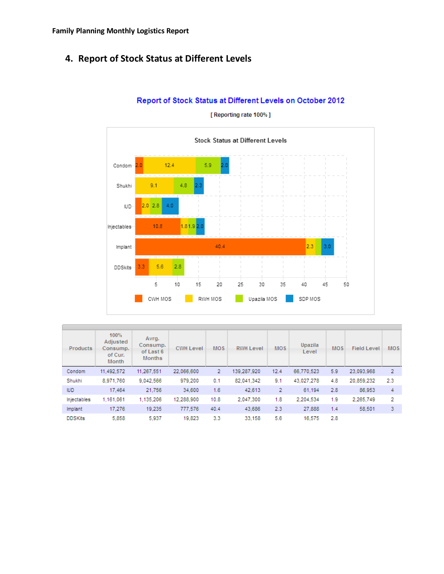# **4. Report of Stock Status at Different Levels**



Report of Stock Status at Different Levels on October 2012

| Products       | 100%<br>Adjusted<br>Consump.<br>of Cur.<br>Month | Avrg.<br>Consump.<br>of Last 6<br><b>Months</b> | <b>CWH Level</b> | <b>MOS</b> | <b>RWH Level</b> | <b>MOS</b>     | Upazila<br>Level | <b>MOS</b> | <b>Field Level</b> | <b>MOS</b> |
|----------------|--------------------------------------------------|-------------------------------------------------|------------------|------------|------------------|----------------|------------------|------------|--------------------|------------|
| Condom         | 11,492,572                                       | 11,267,551                                      | 22.066.600       | 2          | 139.287.920      | 12.4           | 66,770,523       | 5.9        | 23.093.968         | 2          |
| Shukhi         | 8,971,760                                        | 9.042.566                                       | 979.200          | 0.1        | 82.041.342       | 9.1            | 43.027.278       | 4.8        | 20,859,232         | 2.3        |
| <b>IUD</b>     | 17.464                                           | 21.756                                          | 34,600           | 1.6        | 42.613           | $\overline{2}$ | 61.194           | 2.8        | 86.953             | 4          |
| Injectables    | 1,161,061                                        | 1,135,206                                       | 12.288,900       | 10.8       | 2.047.300        | 1.8            | 2.204.534        | 1.9        | 2.265.749          | 2          |
| Implant        | 17.276                                           | 19.235                                          | 777.576          | 40.4       | 43.686           | 2.3            | 27,888           | 1.4        | 58.501             | 3          |
| <b>DDSKits</b> | 5.858                                            | 5.937                                           | 19.823           | 3.3        | 33.158           | 5.6            | 16.575           | 2.8        |                    |            |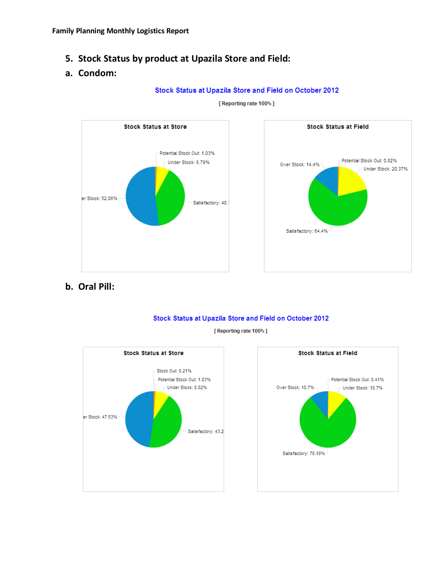**5. Stock Status by product at Upazila Store and Field:**

## **a. Condom:**

Stock Status at Upazila Store and Field on October 2012





**b. Oral Pill:**





[ Reporting rate 100%]

![](_page_6_Figure_10.jpeg)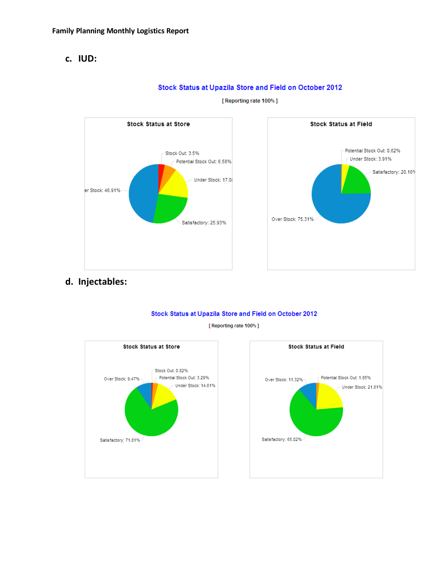### c. IUD:

![](_page_7_Figure_2.jpeg)

### Stock Status at Upazila Store and Field on October 2012 [ Reporting rate 100% ]

![](_page_7_Figure_5.jpeg)

d. Injectables:

#### Stock Status at Upazila Store and Field on October 2012

![](_page_7_Figure_9.jpeg)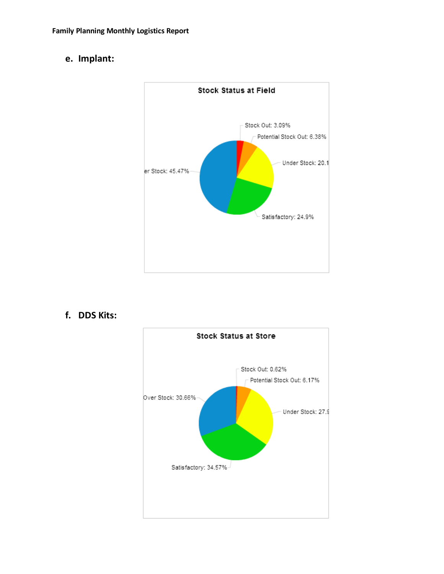# **e. Implant:**

![](_page_8_Figure_2.jpeg)

**f. DDS Kits:**

![](_page_8_Figure_4.jpeg)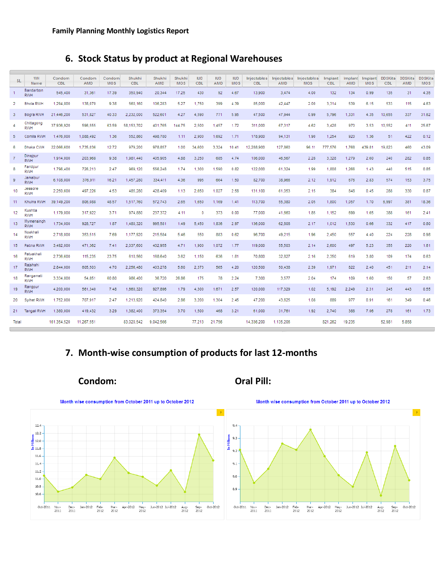# 6. Stock Status by product at Regional Warehouses

| <b>SL</b>      | WH<br>Name               | Condom<br><b>CBL</b> | Condom<br>AMD | Condom<br><b>MOS</b> | Shukhi<br><b>CBL</b> | Shukhi<br>AMD | Shukhi<br><b>MOS</b> | <b>IUD</b><br>CBL | <b>IUD</b><br>AMD | <b>IUD</b><br><b>MOS</b> | Injectables<br>CBL | AMD       | Injectables Injectables<br><b>MOS</b> | Implant<br><b>CBL</b> | Implant<br><b>AMD</b> | Implant<br><b>MOS</b> | <b>DDSKits</b><br>CBL | <b>DDSKits</b><br>AMD | <b>DDSKits</b><br><b>MOS</b> |
|----------------|--------------------------|----------------------|---------------|----------------------|----------------------|---------------|----------------------|-------------------|-------------------|--------------------------|--------------------|-----------|---------------------------------------|-----------------------|-----------------------|-----------------------|-----------------------|-----------------------|------------------------------|
| $\mathbf{1}$   | Bandarbon<br><b>RWH</b>  | 545,400              | 31,361        | 17.39                | 350,940              | 20,344        | 17.25                | 430               | 92                | 4.67                     | 13,900             | 3,474     | 4.00                                  | 132                   | 134                   | 0.99                  | 135                   | 31                    | 4.35                         |
| 2              | <b>Bhola RWH</b>         | 1.294.800            | 138.070       | 9.38                 | 560.160              | 106.283       | 5.27                 | 1.750             | 399               | 4.39                     | 85.000             | 42,447    | 2.00                                  | 3.314                 | 539                   | 6.15                  | 533                   | 115                   | 4.63                         |
| 3              | Bogra RWH                | 21,446,200           | 531.827       | 40.33                | 2.232.000            | 522,601       | 4.27                 | 4.590             | 771               | 5.95                     | 47.500             | 47,944    | 0.99                                  | 5.796                 | 1.331                 | 4.35                  | 10.655                | 337                   | 31.62                        |
| 4              | Chittagong<br><b>RWH</b> | 37.936.920           | 596.555       | 63.59                | 58.153.702           | 401.765       | 144.75               | 2,500             | 1.457             | 1.72                     | 311,000            | 67,317    | 4.62                                  | 3.428                 | 970                   | 3.53                  | 10.552                | 411                   | 25.67                        |
| 5              | Comilla RWH              | 1.476.000            | 1.088.492     | 1.36                 | 552.860              | 498.780       | 1.11                 | 2,900             | 1.692             | 1.71                     | 178,900            | 94,131    | 1.90                                  | 1,254                 | 920                   | 1.36                  | 51                    | 422                   | 0.12                         |
| 6              | Dhaka CWH                | 22,066,600           | 1,735,036     | 12.72                | 979,200              | 978,857       | 1.00                 | 34,600            | 3,324             | 10.41                    | 12,288,900         | 127,860   | 96.11                                 | 777,576               | 1,768                 | 439.81                | 19,823                | 460                   | 43.09                        |
| $\overline{7}$ | Dinajpur<br><b>RWH</b>   | 1,914,000            | 203,968       | 9.38                 | 1,981,440            | 405,905       | 4.88                 | 3,250             | 685               | 4.74                     | 106,000            | 46,567    | 2.28                                  | 3,328                 | 1.279                 | 2.60                  | 240                   | 282                   | 0.85                         |
| 8              | Faridpur<br><b>RWH</b>   | 1,796,400            | 726.213       | 2.47                 | 969.120              | 556,248       | 1.74                 | 1.300             | 1,590             | 0.82                     | 122,000            | 61.324    | 1.99                                  | 1,808                 | 1.266                 | 1.43                  | 440                   | 515                   | 0.85                         |
| 9              | Jamalpur<br><b>RWH</b>   | 6.108.000            | 376,911       | 16.21                | 1,457,280            | 334,411       | 4.36                 | 995               | 664               | 1.50                     | 82.700             | 38,966    | 2.12                                  | 1.912                 | 676                   | 2.83                  | 574                   | 153                   | 3.75                         |
| 10             | Jessore<br><b>RWH</b>    | 2,250,600            | 497,226       | 4.53                 | 485,280              | 428,409       | 1.13                 | 2,650             | 1,027             | 2.58                     | 131,100            | 61,053    | 2.15                                  | 384                   | 848                   | 0.45                  | 288                   | 330                   | 0.87                         |
| 11             | Khulna RWH               | 39.149.200           | 806.088       | 48.57                | 1.517.760            | 572.743       | 2.65                 | 1.650             | 1.169             | 1.41                     | 113,700            | 55,380    | 2.05                                  | 1,800                 | 1.057                 | 1.70                  | 6.997                 | 381                   | 18.36                        |
| 12             | Kushtia<br><b>RWH</b>    | 1,179,000            | 317,922       | 3.71                 | 974,880              | 237,372       | 4.11                 | 0                 | 373               | 0.00                     | 77,000             | 41,660    | 1.85                                  | 1,152                 | 699                   | 1.65                  | 388                   | 161                   | 2.41                         |
| 13             | Mymensingh<br><b>RWH</b> | 1,734,000            | 928.727       | 1.87                 | 1,480,320            | 995,581       | 1.49                 | 5.450             | 1.836             | 2.97                     | 136,000            | 62,808    | 2.17                                  | 1,012                 | 1.530                 | 0.66                  | 332                   | 417                   | 0.80                         |
| 14             | Noakhali<br><b>RWH</b>   | 2,718,000            | 353.515       | 7.69                 | 1,177,920            | 215,584       | 5.46                 | 550               | 883               | 0.62                     | 96.700             | 49.215    | 1.96                                  | 2,450                 | 557                   | 4.40                  | 224                   | 228                   | 0.98                         |
| 15             | Pabna RWH                | 3.492,000            | 471.362       | 7.41                 | 2.037.600            | 432.955       | 4.71                 | 1,900             | 1.072             | 1.77                     | 119,000            | 55,503    | 2.14                                  | 2,600                 | 497                   | 5.23                  | 355                   | 220                   | 1.61                         |
| 16             | Patuakhali<br><b>RWH</b> | 2,736,600            | 115.235       | 23.75                | 610,560              | 168,640       | 3.62                 | 1.150             | 636               | 1.81                     | 70,800             | 32,827    | 2.16                                  | 2,350                 | 619                   | 3.80                  | 109                   | 174                   | 0.63                         |
| 17             | Rajshahi<br><b>RWH</b>   | 2.844.000            | 605,503       | 4.70                 | 2.256.480            | 403.278       | 5.60                 | 2.373             | 565               | 4.20                     | 120,500            | 50,438    | 2.39                                  | 1,971                 | 822                   | 2.40                  | 451                   | 211                   | 2.14                         |
| 18             | Rangamati<br><b>RWH</b>  | 3,334,800            | 54,851        | 60.80                | 986.400              | 36,720        | 26.86                | 175               | 78                | 2.24                     | 7,300              | 3,577     | 2.04                                  | 174                   | 109                   | 1.60                  | 150                   | 57                    | 2.63                         |
| 19             | Rangpur<br><b>RWH</b>    | 4,200,000            | 561.340       | 7.48                 | 1.660.320            | 927,896       | 1.79                 | 4.300             | 1.671             | 2.57                     | 120,000            | 117,329   | 1.02                                  | 5.192                 | 2.249                 | 2.31                  | 245                   | 443                   | 0.55                         |
| 20             | Sylhet RWH               | 1,752,000            | 707.917       | 2.47                 | 1,213,920            | 424,840       | 2.86                 | 3.200             | 1,304             | 2.45                     | 47.200             | 43,625    | 1.08                                  | 889                   | 977                   | 0.91                  | 161                   | 349                   | 0.46                         |
| 21.            | Tangail RWH              | 1,380,000            | 419,432       | 3.29                 | 1,382,400            | 373,354       | 3.70                 | 1,500             | 468               | 3.21                     | 61,000             | 31,761    | 1.92                                  | 2,740                 | 388                   | 7.06                  | 278                   | 161                   | 1.73                         |
| Total          |                          | 161,354,520          | 11.267.551    |                      | 83.020.542           | 9.042.566     |                      | 77,213            | 21.756            |                          | 14.336.200         | 1.135.206 |                                       | 821.262               | 19.235                |                       | 52.981                | 5.858                 |                              |

# 7. Month-wise consumption of products for last 12-months

Condom:

### **Oral Pill:**

![](_page_9_Figure_6.jpeg)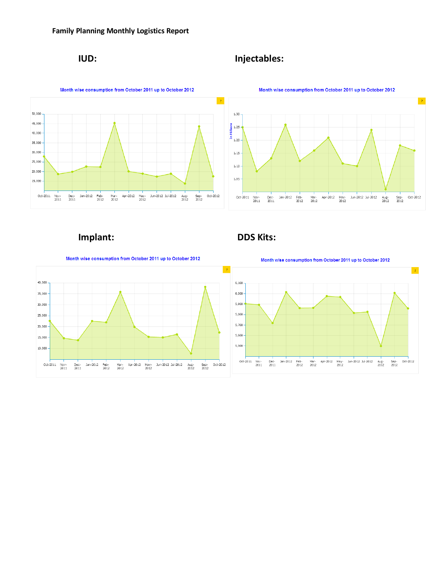# **IUD: Injectables:**

![](_page_10_Figure_3.jpeg)

# **Implant: DDS Kits:**

![](_page_10_Figure_6.jpeg)